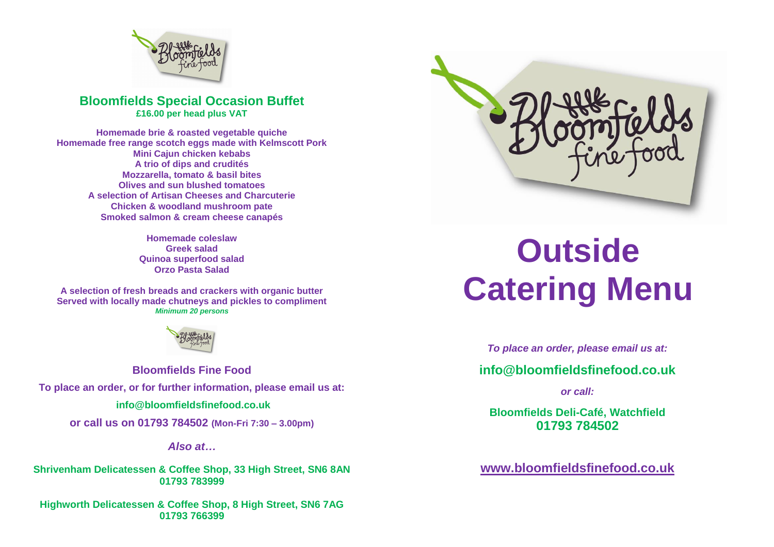

## **Bloomfields Special Occasion Buffet £16.00 per head plus VAT**

**Homemade brie & roasted vegetable quiche Homemade free range scotch eggs made with Kelmscott Pork Mini Cajun chicken kebabs A trio of dips and crudités Mozzarella, tomato & basil bites Olives and sun blushed tomatoes A selection of Artisan Cheeses and Charcuterie Chicken & woodland mushroom pate Smoked salmon & cream cheese canapés**

> **Homemade coleslaw Greek salad Quinoa superfood salad Orzo Pasta Salad**

**A selection of fresh breads and crackers with organic butter Served with locally made chutneys and pickles to compliment** *Minimum 20 persons*



**Bloomfields Fine Food To place an order, or for further information, please email us at: [info@bloomfieldsfinefood.co.uk](mailto:info@bloomfieldsfinefood.co.uk) or call us on 01793 784502 (Mon-Fri 7:30 – 3.00pm)**

*Also at…*

**Shrivenham Delicatessen & Coffee Shop, 33 High Street, SN6 8AN 01793 783999**

**Highworth Delicatessen & Coffee Shop, 8 High Street, SN6 7AG 01793 766399**



# **Outside Catering Menu**

*To place an order, please email us at:*

**[info@bloomfieldsfinefood.co.uk](mailto:info@bloomfieldsfinefood.co.uk)**

*or call:*

**Bloomfields Deli-Café, Watchfield 01793 784502**

**[www.bloomfieldsfinefood.co.uk](http://www.bloomfieldsfinefood.co.uk/)**